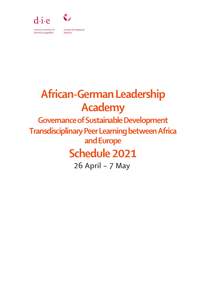

Deutsches Institut für Entwicklungspolitik

**German Development** Institute

# African-German Leadership Academy

Governance of Sustainable Development Transdisciplinary Peer Learning between Africa and Europe Schedule 2021

26 April – 7 May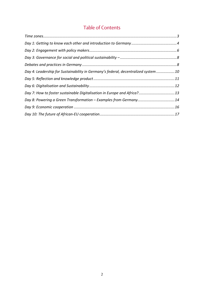#### Table of Contents

| Day 4: Leadership for Sustainability in Germany's federal, decentralized system 10 |  |
|------------------------------------------------------------------------------------|--|
|                                                                                    |  |
|                                                                                    |  |
|                                                                                    |  |
| Day 8: Powering a Green Transformation - Examples from Germany14                   |  |
|                                                                                    |  |
|                                                                                    |  |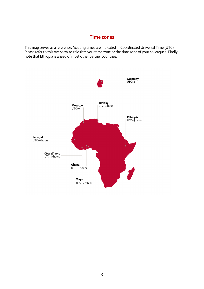#### Time zones

<span id="page-2-0"></span>This map serves as a reference. Meeting times are indicated in Coordinated Universal Time (UTC). Please refer to this overview to calculate your time zone or the time zone of your colleagues. Kindly note that Ethiopia is ahead of most other partner countries.

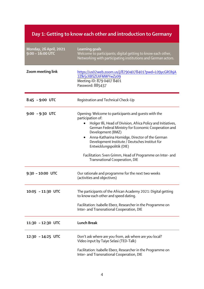#### <span id="page-3-0"></span>Day 1: Getting to know each other and introduction to Germany

| <b>Monday, 26 April, 2021</b><br>$9:00 - 16:00$ UTC | <b>Learning goals</b><br>Welcome to participants; digital getting to know each other,<br>Networking with participating institutions and German actors.                                                                                                                                                                                                                                                                                                                |
|-----------------------------------------------------|-----------------------------------------------------------------------------------------------------------------------------------------------------------------------------------------------------------------------------------------------------------------------------------------------------------------------------------------------------------------------------------------------------------------------------------------------------------------------|
| Zoom meeting link                                   | https://us02web.zoom.us/j/87904078401?pwd=L09ycGRObjA<br>2Zlk5cXBSZUtFMWYwZz09<br>Meeting-ID: 879 0407 8401<br>Password: 885437                                                                                                                                                                                                                                                                                                                                       |
| $8:45 - 9:00$ UTC                                   | Registration and Technical Check-Up                                                                                                                                                                                                                                                                                                                                                                                                                                   |
| $9:00 - 9:30$ UTC                                   | Opening: Welcome to participants and quests with the<br>participation of:<br>Holger Illi, Head of Division, Africa Policy and Initiatives,<br>German Federal Ministry for Economic Cooperation and<br>Development (BMZ)<br>Anna-Katharina Hornidge, Director of the German<br>$\bullet$<br>Development Institute / Deutsches Institut für<br>Entwicklungspolitik (DIE)<br>Facilitation: Sven Grimm, Head of Programme on Inter- and<br>Transnational Cooperation, DIE |
| $9:30 - 10:00$ UTC                                  | Our rationale and programme for the next two weeks<br>(activities and objectives)                                                                                                                                                                                                                                                                                                                                                                                     |
| 10:05 - 11:30 UTC                                   | The participants of the African Academy 2021: Digital getting<br>to know each other and speed dating.<br>Facilitation: Isabelle Eberz, Researcher in the Programme on<br>Inter- and Transnational Cooperation, DIE                                                                                                                                                                                                                                                    |
| 11:30 - 12:30 UTC                                   | <b>Lunch Break</b>                                                                                                                                                                                                                                                                                                                                                                                                                                                    |
| 12:30 - 14:25 UTC                                   | Don't ask where are you from, ask where are you local?<br>Video input by Taiye Selasi (TED-Talk)<br>Facilitation: Isabelle Eberz, Researcher in the Programme on<br>Inter- and Transnational Cooperation, DIE                                                                                                                                                                                                                                                         |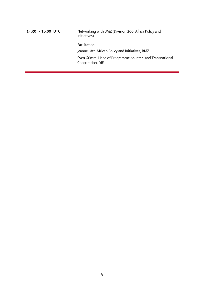14:30 - 16:00 UTC Networking with BMZ (Division 200: Africa Policy and Initiatives) Facilitation: Jeanne Lätt, African Policy and Initiatives, BMZ Sven Grimm, Head of Programme on Inter- and Transnational Cooperation, DIE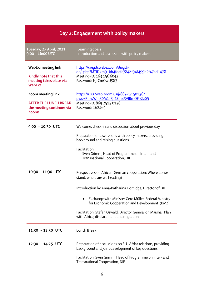## Day 2: Engagement with policy makers

<span id="page-5-0"></span>

| Tuesday, 27 April, 2021<br>$9:00 - 16:00$ UTC                                           | <b>Learning goals</b><br>Introduction and discussion with policy makers.                                                                                                                                                                                                                                                                                                   |
|-----------------------------------------------------------------------------------------|----------------------------------------------------------------------------------------------------------------------------------------------------------------------------------------------------------------------------------------------------------------------------------------------------------------------------------------------------------------------------|
| <b>WebEx meeting link</b><br>Kindly note that this<br>meeting takes place via<br>WebEx! | https://diegdi.webex.com/diegdi-<br>de/j.php?MTID=m916b4fdefc7848f94f499b2f47ad1478<br>Meeting-ID: 163 156 6042<br>Password: NJrCmQwU583                                                                                                                                                                                                                                   |
| Zoom meeting link<br><b>AFTER THE LUNCH BREAK</b><br>the meeting continues via<br>Zoom! | https://us02web.zoom.us/j/86925150136?<br>pwd=RnlwWmE0M1llRjl2Zm45VlBmOFIzZz09<br>Meeting-ID: 869 2515 0136<br>Password: 162469                                                                                                                                                                                                                                            |
| $9:00 - 10:30$ UTC                                                                      | Welcome, check-in and discussion about previous day<br>Preparation of discussions with policy makers, providing<br>background and raising questions<br>Facilitation:<br>Sven Grimm, Head of Programme on Inter- and<br>Transnational Cooperation, DIE                                                                                                                      |
| 10:30 - 11:30 UTC                                                                       | Perspectives on African-German cooperation: Where do we<br>stand, where are we heading?<br>Introduction by Anna-Katharina Hornidge, Director of DIE<br>Exchange with Minister Gerd Müller, Federal Ministry<br>for Economic Cooperation and Development (BMZ)<br>Facilitation: Stefan Oswald, Director General on Marshall Plan<br>with Africa; displacement and migration |
| 11:30 - 12:30 UTC                                                                       | <b>Lunch Break</b>                                                                                                                                                                                                                                                                                                                                                         |
| 12:30 - 14:25 UTC                                                                       | Preparation of discussions on EU- Africa relations, providing<br>background and joint development of key questions<br>Facilitation: Sven Grimm, Head of Programme on Inter- and<br>Transnational Cooperation, DIE                                                                                                                                                          |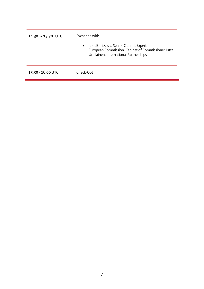| $14:30 - 15:30$ UTC | Exchange with                                                                                                                                      |
|---------------------|----------------------------------------------------------------------------------------------------------------------------------------------------|
|                     | Lora Borissova, Senior Cabinet Expert<br>$\bullet$<br>European Commission, Cabinet of Commissioner Jutta<br>Urpilainen, International Partnerships |
| 15.30 - 16.00 UTC   | Check-Out                                                                                                                                          |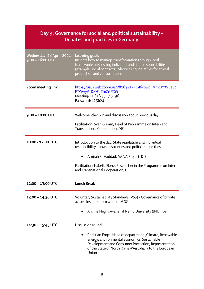#### <span id="page-7-1"></span><span id="page-7-0"></span>Day 3: Governance for social and political sustainability – Debates and practices in Germany Wednesday, 28 April, 2021 9:00 – 16:00 UTC Learning goals Insights how to manage transformation through legal frameworks, discussing individual and state responsibilities (example: social contracts). Showcasing initiatives for ethical production and consumption. Zoom meeting link [https://us02web.zoom.us/j/81835175196?pwd=Mm1IYXVBeEZ](https://us02web.zoom.us/j/81835175196?pwd=Mm1IYXVBeEZFTWwyV1JXOFIrTmZrUT09) [FTWwyV1JXOFIrTmZrUT09](https://us02web.zoom.us/j/81835175196?pwd=Mm1IYXVBeEZFTWwyV1JXOFIrTmZrUT09) Meeting-ID: 818 3517 5196 Password: 125624 9:00 – 10:00 UTC Welcome, check-in and discussion about previous day Facilitation: Sven Grimm, Head of Programme on Inter- and Transnational Cooperation, DIE 10:00 - 12:00 UTC Introduction to the day: State regulation and individual responsibility - how do societies and politics shape these. • Amirah El-Haddad, MENA Project, DIE Facilitation: Isabelle Eberz, Researcher in the Programme on Interand Transnational Cooperation, DIE 12:00 – 13:00 UTC Lunch Break 13:00 – 14:30 UTC Voluntary Sustainability Standards (VSS) - Governance of private actors. Insights from work of MGG • Archna Negi, Jawaharlal Nehru University (JNU), Delhi 14:30 – 15:45 UTC Discussion round Christian Engel, Head of department "Climate, Renewable Energy, Environmental Economics, Sustainable Development and Consumer Protection; Representation of the State of North Rhine-Westphalia to the European Union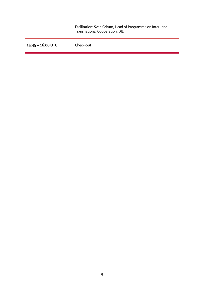|                   | Facilitation: Sven Grimm, Head of Programme on Inter- and<br>Transnational Cooperation, DIE |
|-------------------|---------------------------------------------------------------------------------------------|
| 15:45 - 16:00 UTC | Check-out                                                                                   |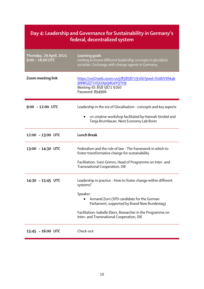#### <span id="page-9-0"></span>Day 4: Leadership and Governance for Sustainability in Germany's federal, decentralized system

| Thursday, 29 April, 2021<br>$9:00 - 16:00$ UTC | Learning goals<br>Getting to know different leadership concepts in pluralistic<br>societies. Exchange with change agents in Germany. |
|------------------------------------------------|--------------------------------------------------------------------------------------------------------------------------------------|
| Zoom meeting link                              | https://us02web.zoom.us/j/85858719160?pwd=SUd0VXhkak<br>9NWGZjT1VQUXpQdGdYQT09<br>Meeting-ID: 858 5871 9160<br>Password: 894966      |
| $9:00 - 12:00$ UTC                             | Leadership in the era of Glocalisation - concepts and key aspects                                                                    |
|                                                | co-creative workshop facilitated by Hannah Strobel and<br>Tanja Brumbauer, Next Economy Lab Bonn                                     |
| 12:00 - 13:00 UTC                              | <b>Lunch Break</b>                                                                                                                   |
| 13:00 - 14:30 UTC                              | Federalism and the rule of law - The framework in which to<br>foster transformative change for sustainability                        |
|                                                | Facilitation: Sven Grimm, Head of Programme on Inter- and<br>Transnational Cooperation, DIE                                          |
| 14:30 - 15:45 UTC                              | Leadership in practice - How to foster change within different<br>systems?                                                           |
|                                                | Speaker:<br>Armand Zorn (SPD candidate for the German<br>Parliament, supported by Brand New Bundestag)                               |
|                                                | Facilitation: Isabelle Eberz, Researcher in the Programme on<br>Inter- and Transnational Cooperation, DIE                            |
| 15:45 - 16:00 UTC                              | Check-out                                                                                                                            |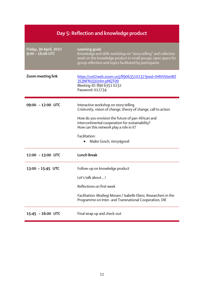<span id="page-10-0"></span>

| Day 5: Reflection and knowledge product             |                                                                                                                                                                                                               |
|-----------------------------------------------------|---------------------------------------------------------------------------------------------------------------------------------------------------------------------------------------------------------------|
| <b>Friday, 30 April, 2021</b><br>$9:00 - 16:00$ UTC | Learning goals<br>Knowledge and skills workshop on "story telling" and collective<br>work on the knowledge product in small groups; open space for<br>group reflection and topics facilitated by participants |
| Zoom meeting link                                   | https://us02web.zoom.us/j/89063510232?pwd=SHl0V0IzeWZ<br>3S3NFN2J3Unlm pNQT09<br>Meeting-ID: 890 6351 0232<br>Password: 012734                                                                                |
| 09:00 - 12:00 UTC                                   | Interactive workshop on story telling<br>Crisitunity, vision of change, theory of change, call to action                                                                                                      |
|                                                     | How do you envision the future of pan-African and<br>intercontinental cooperation for sustainability?<br>How can this network play a role in it?                                                              |
|                                                     | Facilitation:<br>Maike Gosch, story4good                                                                                                                                                                      |
| 12:00 - 13:00 UTC                                   | <b>Lunch Break</b>                                                                                                                                                                                            |
| 13:00 - 15:45 UTC                                   | Follow-up on knowledge product                                                                                                                                                                                |
|                                                     | Let's talk about !                                                                                                                                                                                            |
|                                                     | Reflections on first week                                                                                                                                                                                     |
|                                                     | Facilitation: Modiegi Morare / Isabelle Eberz, Researchers in the<br>Programme on Inter- and Transnational Cooperation, DIE                                                                                   |
| 15:45 - 16:00 UTC                                   | Final wrap up and check-out                                                                                                                                                                                   |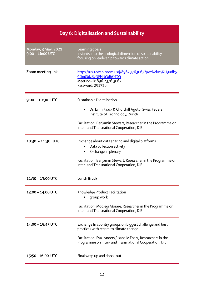## Day 6: Digitalisation and Sustainability

<span id="page-11-0"></span>

| Monday, 3 May, 2021<br>$9:00 - 16:00$ UTC | <b>Learning goals</b><br>Insights into the ecological dimension of sustainability -<br>focusing on leadership towards climate action.                                                                                            |
|-------------------------------------------|----------------------------------------------------------------------------------------------------------------------------------------------------------------------------------------------------------------------------------|
| Zoom meeting link                         | https://us02web.zoom.us/j/89623763067?pwd=d0syRU9udk5<br>0QndSdzByNFNrb3d6QT09<br>Meeting-ID: 896 2376 3067<br>Password: 251726                                                                                                  |
| $9:00 - 10:30$ UTC                        | Sustainable Digitalisation<br>Dr. Lynn Kaack & Churchill Agutu, Swiss Federal<br>Institute of Technology, Zurich                                                                                                                 |
|                                           | Facilitation: Benjamin Stewart, Researcher in the Programme on<br>Inter- and Transnational Cooperation, DIE                                                                                                                      |
| 10:30 - 11:30 UTC                         | Exchange about data sharing and digital platforms<br>Data collection activity<br>Exchange in plenary<br>$\bullet$<br>Facilitation: Benjamin Stewart, Researcher in the Programme on<br>Inter- and Transnational Cooperation, DIE |
| 11:30 - 13:00 UTC                         | <b>Lunch Break</b>                                                                                                                                                                                                               |
| 13:00 - 14.00 UTC                         | Knowledge Product Facilitation<br>group work<br>Facilitation: Modiegi Morare, Researcher in the Programme on<br>Inter- and Transnational Cooperation, DIE                                                                        |
| 14:00 - 15:45 UTC                         | Exchange In country groups on biggest challenge and best<br>practices with regard to climate change<br>Facilitation: Eva Lynders / Isabelle Eberz, Researchers in the<br>Programme on Inter- and Transnational Cooperation, DIE  |
| 15:50-16:00 UTC                           | Final wrap up and check-out                                                                                                                                                                                                      |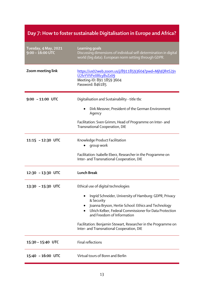<span id="page-12-0"></span>

| Day 7: How to foster sustainable Digitalisation in Europe and Africa? |                                                                                                                                                                                                                      |
|-----------------------------------------------------------------------|----------------------------------------------------------------------------------------------------------------------------------------------------------------------------------------------------------------------|
| Tuesday, 4 May, 2021<br>$9:00 - 16:00$ UTC                            | Learning goals<br>Discussing dimensions of individual self-determination in digital<br>world (big data). European norm setting through GDPR.                                                                         |
| Zoom meeting link                                                     | https://us02web.zoom.us/j/89118593604?pwd=MjhJQlhtS2Jn<br>U2lvYVVFeXRIcy8vZz09<br>Meeting-ID: 891 1859 3604<br>Password: 846185                                                                                      |
| $9:00 - 11:00$ UTC                                                    | Digitalisation and Sustainability - title tbc                                                                                                                                                                        |
|                                                                       | Dirk Messner, President of the German Environment<br>Agency                                                                                                                                                          |
|                                                                       | Facilitation: Sven Grimm, Head of Programme on Inter- and<br>Transnational Cooperation, DIE                                                                                                                          |
| 11:15 - 12:30 UTC                                                     | Knowledge Product Facilitation<br>group work                                                                                                                                                                         |
|                                                                       | Facilitation: Isabelle Eberz, Researcher in the Programme on<br>Inter- and Transnational Cooperation, DIE                                                                                                            |
| 12:30 - 13:30 UTC                                                     | <b>Lunch Break</b>                                                                                                                                                                                                   |
| 13:30 - 15:30 UTC                                                     | Ethical use of digital technologies                                                                                                                                                                                  |
|                                                                       | Ingrid Schneider, University of Hamburg: GDPR, Privacy<br>& Security<br>Joanna Bryson, Hertie School: Ethics and Technology<br>Ulrich Kelber, Federal Commissioner for Data Protection<br>and Freedom of Information |
|                                                                       | Facilitation: Benjamin Stewart, Researcher in the Programme on<br>Inter- and Transnational Cooperation, DIE                                                                                                          |
| 15:30 - 15:40 UTC                                                     | Final reflections                                                                                                                                                                                                    |
| 15:40 - 16:00 UTC                                                     | Virtual tours of Bonn and Berlin                                                                                                                                                                                     |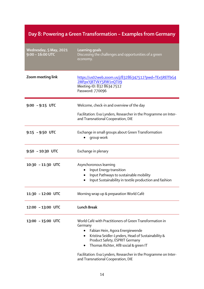#### <span id="page-13-0"></span>Day 8: Powering a Green Transformation – Examples from Germany

| Wednesday, 5 May, 2021<br>$9:00 - 16:00$ UTC | <b>Learning goals</b><br>Discussing the challenges and opportunities of a green<br>economy.                                                                                                                                                                                                                                                                         |
|----------------------------------------------|---------------------------------------------------------------------------------------------------------------------------------------------------------------------------------------------------------------------------------------------------------------------------------------------------------------------------------------------------------------------|
| Zoom meeting link                            | https://us02web.zoom.us/j/83286347512?pwd=TEx5RElTbG4<br>2MFpxYjBTVkY5RW1nQT09<br>Meeting-ID: 832 8634 7512<br>Password: 770096                                                                                                                                                                                                                                     |
| $9:00 - 9:15$ UTC                            | Welcome, check-in and overview of the day<br>Facilitation: Eva Lynders, Researcher in the Programme on Inter-                                                                                                                                                                                                                                                       |
|                                              | and Transnational Cooperation, DIE                                                                                                                                                                                                                                                                                                                                  |
| $9:15 - 9:50$ UTC                            | Exchange in small groups about Green Transformation<br>group work                                                                                                                                                                                                                                                                                                   |
| $9:50 - 10:30$ UTC                           | Exchange in plenary                                                                                                                                                                                                                                                                                                                                                 |
| 10:30 - 11:30 UTC                            | Asynchoronous learning<br>Input Energy transition<br>Input Pathways to sustainable mobility<br>Input Sustainability in textile production and fashion                                                                                                                                                                                                               |
| 11:30 - 12:00 UTC                            | Morning wrap up & preparation World Café                                                                                                                                                                                                                                                                                                                            |
| 12:00 - 13:00 UTC                            | <b>Lunch Break</b>                                                                                                                                                                                                                                                                                                                                                  |
| 13:00 - 15:00 UTC                            | World Café with Practitioners of Green Transformation in<br>Germany<br>Fabian Hein, Agora Energiewende<br>$\bullet$<br>Kristina Seidler-Lynders, Head of Sustainability &<br>٠<br>Product Safety, ESPRIT Germany<br>Thomas Richter, AfB social & green IT<br>Facilitation: Eva Lynders, Researcher in the Programme on Inter-<br>and Transnational Cooperation, DIE |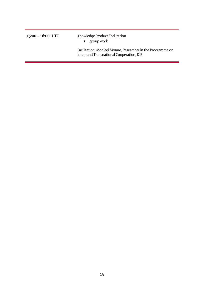15:00 – 16:00 UTC Knowledge Product Facilitation • group work

> Facilitation: Modiegi Morare, Researcher in the Programme on Inter- and Transnational Cooperation, DIE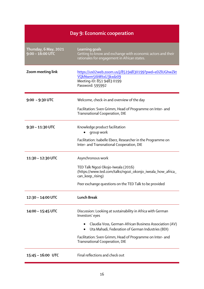<span id="page-15-0"></span>

| Day 9: Economic cooperation                 |                                                                                                                                      |
|---------------------------------------------|--------------------------------------------------------------------------------------------------------------------------------------|
| Thursday, 6 May, 2021<br>$9:00 - 16:00$ UTC | <b>Learning goals</b><br>Getting to know and exchange with economic actors and their<br>rationales for engagement in African states. |
| Zoom meeting link                           | https://us02web.zoom.us/j/85194830199?pwd=eDZlUGhwZkt<br>VQkNsem5tbWtxU3kxdz09<br>Meeting-ID: 851 9483 0199<br>Password: 595992      |
| $9:00 - 9:30$ UTC                           | Welcome, check-in and overview of the day                                                                                            |
|                                             | Facilitation: Sven Grimm, Head of Programme on Inter- and<br>Transnational Cooperation, DIE                                          |
| $9:30 - 11:30$ UTC                          | Knowledge product facilitation<br>group work                                                                                         |
|                                             | Facilitation: Isabelle Eberz, Researcher in the Programme on<br>Inter- and Transnational Cooperation, DIE                            |
| 11:30 - 12:30 UTC                           | Asynchronous work                                                                                                                    |
|                                             | TED Talk Ngozi Okojo-Iweala (2016)<br>(https://www.ted.com/talks/ngozi_okonjo_iweala_how_africa_<br>can_keep_rising)                 |
|                                             | Peer exchange questions on the TED Talk to be provided                                                                               |
| 12:30 - 14:00 UTC                           | <b>Lunch Break</b>                                                                                                                   |
| 14:00 - 15:45 UTC                           | Discussion: Looking at sustainability in Africa with German<br>Investors' eyes                                                       |
|                                             | Claudia Voss, German-African Business Association (AV)<br>Uta Mahadi, Federation of German Industries (BDI)                          |
|                                             | Facilitation: Sven Grimm, Head of Programme on Inter- and<br>Transnational Cooperation, DIE                                          |
| 15:45 - 16:00 UTC                           | Final reflections and check out                                                                                                      |